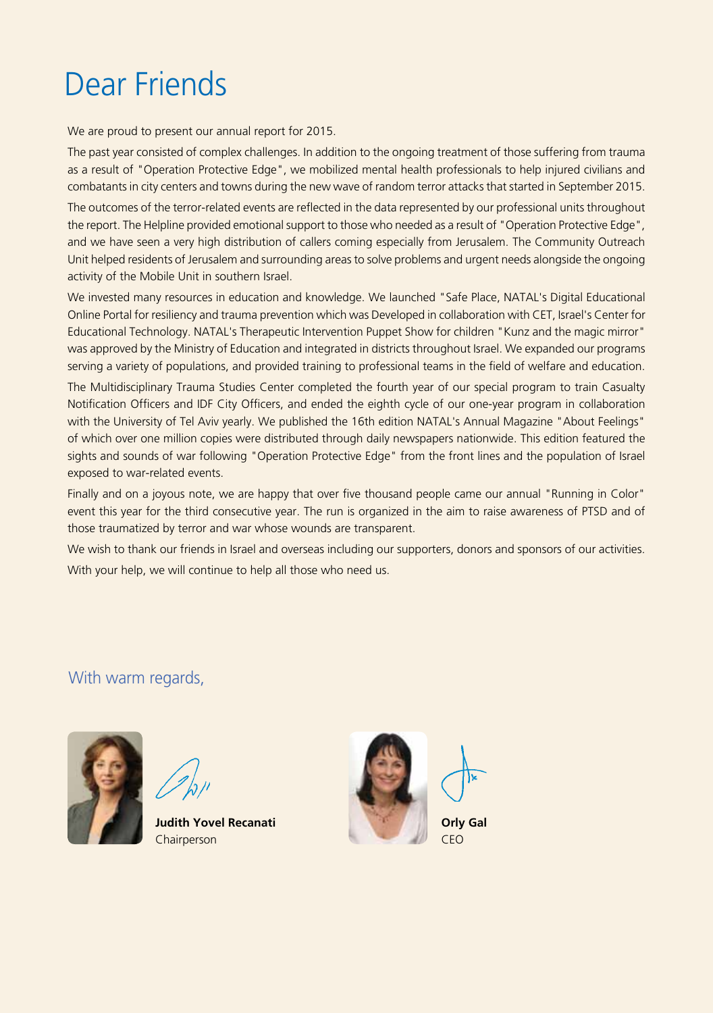# Dear Friends

We are proud to present our annual report for 2015.

The past year consisted of complex challenges. In addition to the ongoing treatment of those suffering from trauma as a result of "Operation Protective Edge", we mobilized mental health professionals to help injured civilians and combatants in city centers and towns during the new wave of random terror attacks that started in September 2015.

The outcomes of the terror-related events are reflected in the data represented by our professional units throughout the report. The Helpline provided emotional support to those who needed as a result of "Operation Protective Edge", and we have seen a very high distribution of callers coming especially from Jerusalem. The Community Outreach Unit helped residents of Jerusalem and surrounding areas to solve problems and urgent needs alongside the ongoing activity of the Mobile Unit in southern Israel.

We invested many resources in education and knowledge. We launched "Safe Place, NATAL's Digital Educational Online Portal for resiliency and trauma prevention which was Developed in collaboration with CET, Israel's Center for Educational Technology. NATAL's Therapeutic Intervention Puppet Show for children "Kunz and the magic mirror" was approved by the Ministry of Education and integrated in districts throughout Israel. We expanded our programs serving a variety of populations, and provided training to professional teams in the field of welfare and education.

The Multidisciplinary Trauma Studies Center completed the fourth year of our special program to train Casualty Notification Officers and IDF City Officers, and ended the eighth cycle of our one-year program in collaboration with the University of Tel Aviv yearly. We published the 16th edition NATAL's Annual Magazine "About Feelings" of which over one million copies were distributed through daily newspapers nationwide. This edition featured the sights and sounds of war following "Operation Protective Edge" from the front lines and the population of Israel exposed to war-related events.

Finally and on a joyous note, we are happy that over five thousand people came our annual "Running in Color" event this year for the third consecutive year. The run is organized in the aim to raise awareness of PTSD and of those traumatized by terror and war whose wounds are transparent.

We wish to thank our friends in Israel and overseas including our supporters, donors and sponsors of our activities. With your help, we will continue to help all those who need us.

### With warm regards,





**Judith Yovel Recanati** Chairperson

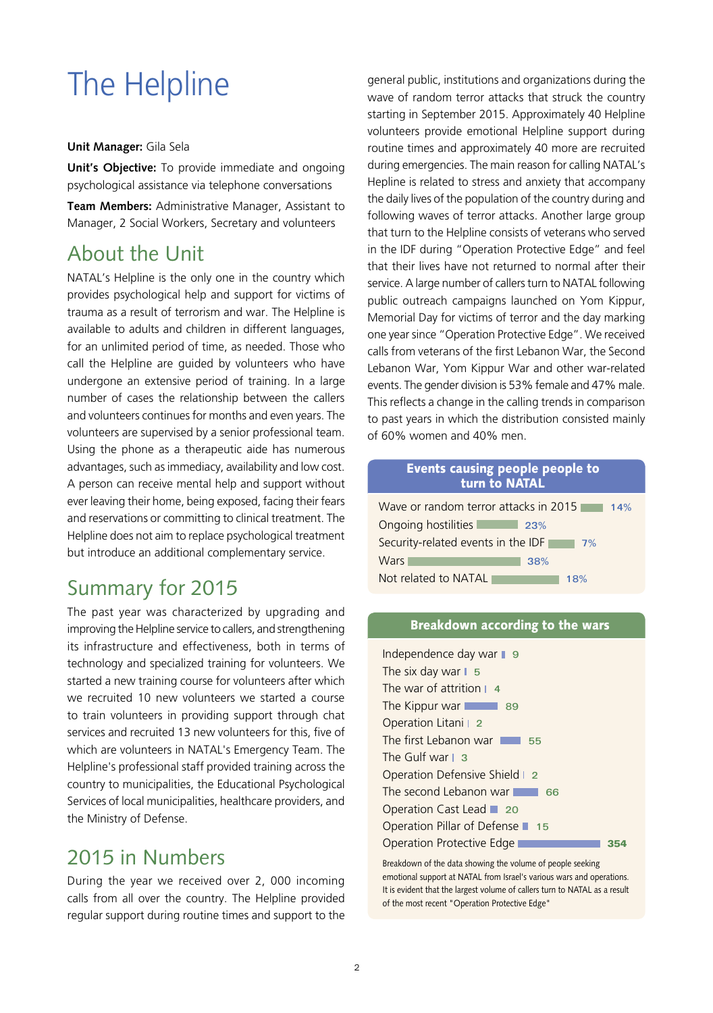# The Helpline

#### **Unit Manager:** Gila Sela

**Unit's Objective:** To provide immediate and ongoing psychological assistance via telephone conversations

**Team Members:** Administrative Manager, Assistant to Manager, 2 Social Workers, Secretary and volunteers

## About the Unit

NATAL's Helpline is the only one in the country which provides psychological help and support for victims of trauma as a result of terrorism and war. The Helpline is available to adults and children in different languages, for an unlimited period of time, as needed. Those who call the Helpline are guided by volunteers who have undergone an extensive period of training. In a large number of cases the relationship between the callers and volunteers continues for months and even years. The volunteers are supervised by a senior professional team. Using the phone as a therapeutic aide has numerous advantages, such as immediacy, availability and low cost. A person can receive mental help and support without ever leaving their home, being exposed, facing their fears and reservations or committing to clinical treatment. The Helpline does not aim to replace psychological treatment but introduce an additional complementary service.

## Summary for 2015

The past year was characterized by upgrading and improving the Helpline service to callers, and strengthening its infrastructure and effectiveness, both in terms of technology and specialized training for volunteers. We started a new training course for volunteers after which we recruited 10 new volunteers we started a course to train volunteers in providing support through chat services and recruited 13 new volunteers for this, five of which are volunteers in NATAL's Emergency Team. The Helpline's professional staff provided training across the country to municipalities, the Educational Psychological Services of local municipalities, healthcare providers, and the Ministry of Defense.

### 2015 in Numbers

During the year we received over 2, 000 incoming calls from all over the country. The Helpline provided regular support during routine times and support to the

general public, institutions and organizations during the wave of random terror attacks that struck the country starting in September 2015. Approximately 40 Helpline volunteers provide emotional Helpline support during routine times and approximately 40 more are recruited during emergencies. The main reason for calling NATAL's Hepline is related to stress and anxiety that accompany the daily lives of the population of the country during and following waves of terror attacks. Another large group that turn to the Helpline consists of veterans who served in the IDF during "Operation Protective Edge" and feel that their lives have not returned to normal after their service. A large number of callers turn to NATAL following public outreach campaigns launched on Yom Kippur, Memorial Day for victims of terror and the day marking one year since "Operation Protective Edge". We received calls from veterans of the first Lebanon War, the Second Lebanon War, Yom Kippur War and other war-related events. The gender division is 53% female and 47% male. This reflects a change in the calling trends in comparison to past years in which the distribution consisted mainly of 60% women and 40% men.

#### Events causing people people to turn to NATAL

| Wave or random terror attacks in 2015<br>14% |
|----------------------------------------------|
| Ongoing hostilities<br>23%                   |
| Security-related events in the IDF<br>7%     |
| <b>Wars</b><br>38%                           |
| Not related to NATAL<br>18%                  |

#### Breakdown according to the wars

| Independence day war $\Box$ 9    |  |
|----------------------------------|--|
| The six day war $\vert 5$        |  |
| The war of attrition 14          |  |
| The Kippur war                   |  |
| Operation Litani   2             |  |
| The first Lebanon war<br>55      |  |
| The Gulf war L 3                 |  |
| Operation Defensive Shield   2   |  |
| The second Lebanon war<br>66     |  |
| Operation Cast Lead ■ 20         |  |
| Operation Pillar of Defense ■ 15 |  |
| Operation Protective Edge        |  |

Breakdown of the data showing the volume of people seeking emotional support at NATAL from Israel's various wars and operations. It is evident that the largest volume of callers turn to NATAL as a result of the most recent "Operation Protective Edge"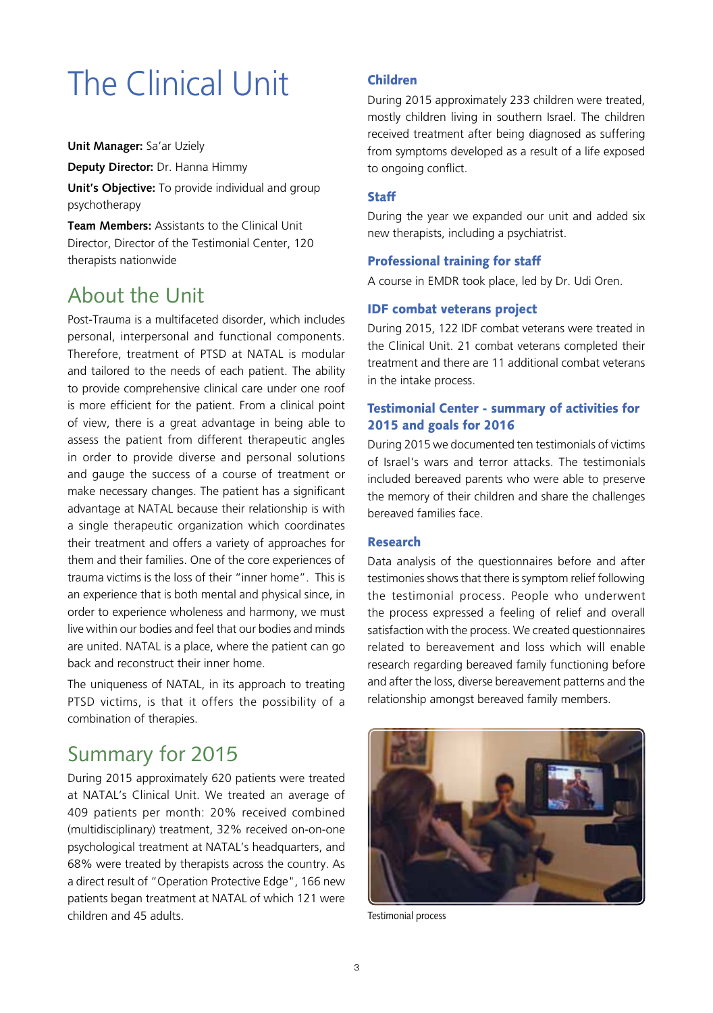# The Clinical Unit

**Unit Manager:** Sa'ar Uziely

**Deputy Director:** Dr. Hanna Himmy

**Unit's Objective:** To provide individual and group psychotherapy

**Team Members:** Assistants to the Clinical Unit Director, Director of the Testimonial Center, 120 therapists nationwide

## About the Unit

Post-Trauma is a multifaceted disorder, which includes personal, interpersonal and functional components. Therefore, treatment of PTSD at NATAL is modular and tailored to the needs of each patient. The ability to provide comprehensive clinical care under one roof is more efficient for the patient. From a clinical point of view, there is a great advantage in being able to assess the patient from different therapeutic angles in order to provide diverse and personal solutions and gauge the success of a course of treatment or make necessary changes. The patient has a significant advantage at NATAL because their relationship is with a single therapeutic organization which coordinates their treatment and offers a variety of approaches for them and their families. One of the core experiences of trauma victims is the loss of their "inner home". This is an experience that is both mental and physical since, in order to experience wholeness and harmony, we must live within our bodies and feel that our bodies and minds are united. NATAL is a place, where the patient can go back and reconstruct their inner home.

The uniqueness of NATAL, in its approach to treating PTSD victims, is that it offers the possibility of a combination of therapies.

## Summary for 2015

During 2015 approximately 620 patients were treated at NATAL's Clinical Unit. We treated an average of 409 patients per month: 20% received combined (multidisciplinary) treatment, 32% received on-on-one psychological treatment at NATAL's headquarters, and 68% were treated by therapists across the country. As a direct result of "Operation Protective Edge", 166 new patients began treatment at NATAL of which 121 were children and 45 adults.

#### Children

During 2015 approximately 233 children were treated, mostly children living in southern Israel. The children received treatment after being diagnosed as suffering from symptoms developed as a result of a life exposed to ongoing conflict.

#### **Staff**

During the year we expanded our unit and added six new therapists, including a psychiatrist.

#### Professional training for staff

A course in EMDR took place, led by Dr. Udi Oren.

#### IDF combat veterans project

During 2015, 122 IDF combat veterans were treated in the Clinical Unit. 21 combat veterans completed their treatment and there are 11 additional combat veterans in the intake process.

#### Testimonial Center - summary of activities for 2015 and goals for 2016

During 2015 we documented ten testimonials of victims of Israel's wars and terror attacks. The testimonials included bereaved parents who were able to preserve the memory of their children and share the challenges bereaved families face.

#### Research

Data analysis of the questionnaires before and after testimonies shows that there is symptom relief following the testimonial process. People who underwent the process expressed a feeling of relief and overall satisfaction with the process. We created questionnaires related to bereavement and loss which will enable research regarding bereaved family functioning before and after the loss, diverse bereavement patterns and the relationship amongst bereaved family members.



Testimonial process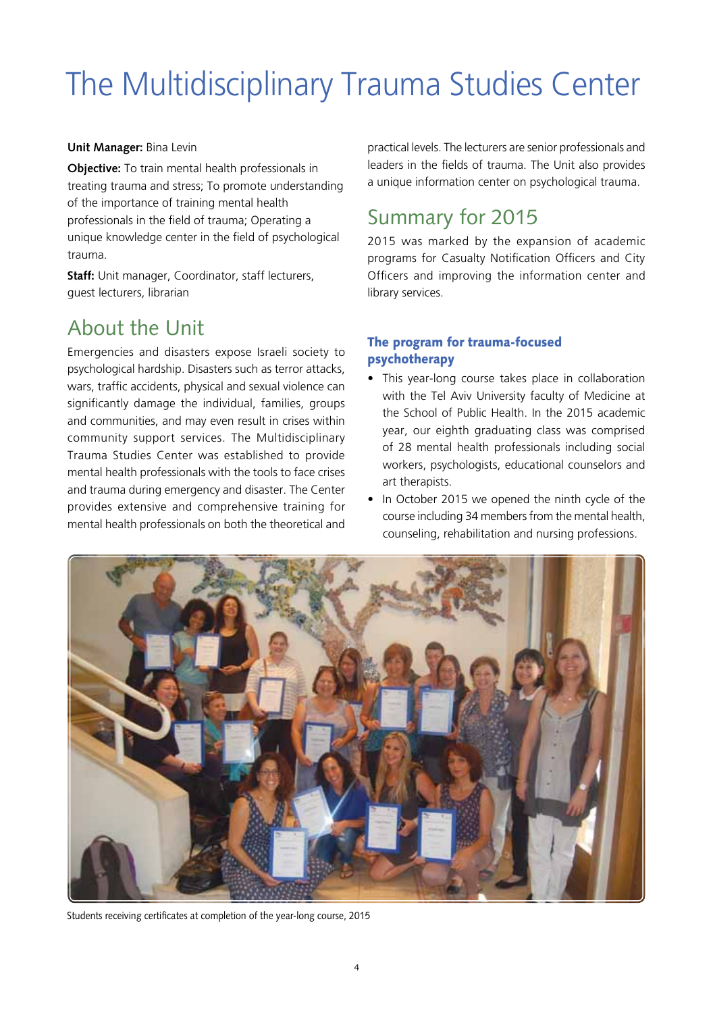# The Multidisciplinary Trauma Studies Center

#### **Unit Manager:** Bina Levin

**Objective:** To train mental health professionals in treating trauma and stress; To promote understanding of the importance of training mental health professionals in the field of trauma; Operating a unique knowledge center in the field of psychological trauma.

**Staff:** Unit manager, Coordinator, staff lecturers, guest lecturers, librarian

## About the Unit

Emergencies and disasters expose Israeli society to psychological hardship. Disasters such as terror attacks, wars, traffic accidents, physical and sexual violence can significantly damage the individual, families, groups and communities, and may even result in crises within community support services. The Multidisciplinary Trauma Studies Center was established to provide mental health professionals with the tools to face crises and trauma during emergency and disaster. The Center provides extensive and comprehensive training for mental health professionals on both the theoretical and

practical levels. The lecturers are senior professionals and leaders in the fields of trauma. The Unit also provides a unique information center on psychological trauma.

## Summary for 2015

2015 was marked by the expansion of academic programs for Casualty Notification Officers and City Officers and improving the information center and library services.

#### The program for trauma-focused psychotherapy

- This year-long course takes place in collaboration with the Tel Aviv University faculty of Medicine at the School of Public Health. In the 2015 academic year, our eighth graduating class was comprised of 28 mental health professionals including social workers, psychologists, educational counselors and art therapists.
- In October 2015 we opened the ninth cycle of the course including 34 members from the mental health, counseling, rehabilitation and nursing professions.



Students receiving certificates at completion of the year-long course, 2015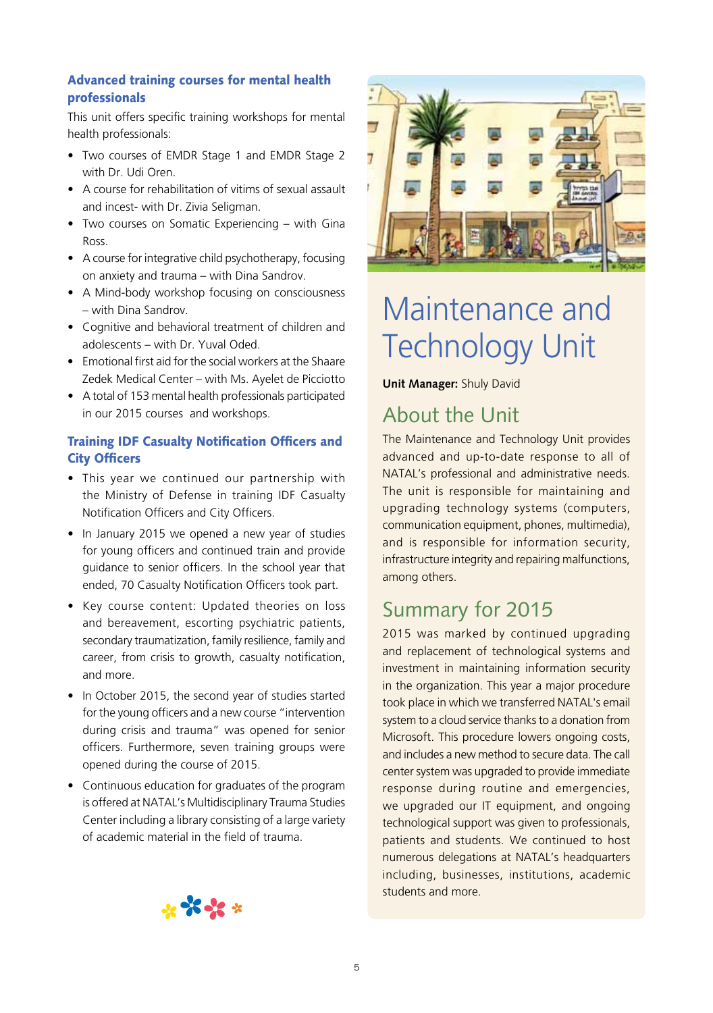#### Advanced training courses for mental health professionals

This unit offers specific training workshops for mental health professionals:

- Two courses of EMDR Stage 1 and EMDR Stage 2 with Dr. Udi Oren.
- A course for rehabilitation of vitims of sexual assault and incest- with Dr. Zivia Seligman.
- Two courses on Somatic Experiencing with Gina **Ross**
- A course for integrative child psychotherapy, focusing on anxiety and trauma – with Dina Sandrov.
- A Mind-body workshop focusing on consciousness – with Dina Sandrov.
- Cognitive and behavioral treatment of children and adolescents – with Dr. Yuval Oded.
- Emotional first aid for the social workers at the Shaare Zedek Medical Center – with Ms. Ayelet de Picciotto
- • A total of 153 mental health professionals participated in our 2015 courses and workshops.

#### Training IDF Casualty Notification Officers and City Officers

- This year we continued our partnership with the Ministry of Defense in training IDF Casualty Notification Officers and City Officers.
- In January 2015 we opened a new year of studies for young officers and continued train and provide guidance to senior officers. In the school year that ended, 70 Casualty Notification Officers took part.
- Key course content: Updated theories on loss and bereavement, escorting psychiatric patients, secondary traumatization, family resilience, family and career, from crisis to growth, casualty notification, and more.
- In October 2015, the second year of studies started for the young officers and a new course "intervention during crisis and trauma" was opened for senior officers. Furthermore, seven training groups were opened during the course of 2015.
- Continuous education for graduates of the program is offered at NATAL's Multidisciplinary Trauma Studies Center including a library consisting of a large variety of academic material in the field of trauma.



## Maintenance and Technology Unit

**Unit Manager:** Shuly David

## About the Unit

The Maintenance and Technology Unit provides advanced and up-to-date response to all of NATAL's professional and administrative needs. The unit is responsible for maintaining and upgrading technology systems (computers, communication equipment, phones, multimedia), and is responsible for information security, infrastructure integrity and repairing malfunctions, among others.

## Summary for 2015

2015 was marked by continued upgrading and replacement of technological systems and investment in maintaining information security in the organization. This year a major procedure took place in which we transferred NATAL's email system to a cloud service thanks to a donation from Microsoft. This procedure lowers ongoing costs, and includes a new method to secure data. The call center system was upgraded to provide immediate response during routine and emergencies, we upgraded our IT equipment, and ongoing technological support was given to professionals, patients and students. We continued to host numerous delegations at NATAL's headquarters including, businesses, institutions, academic students and more.

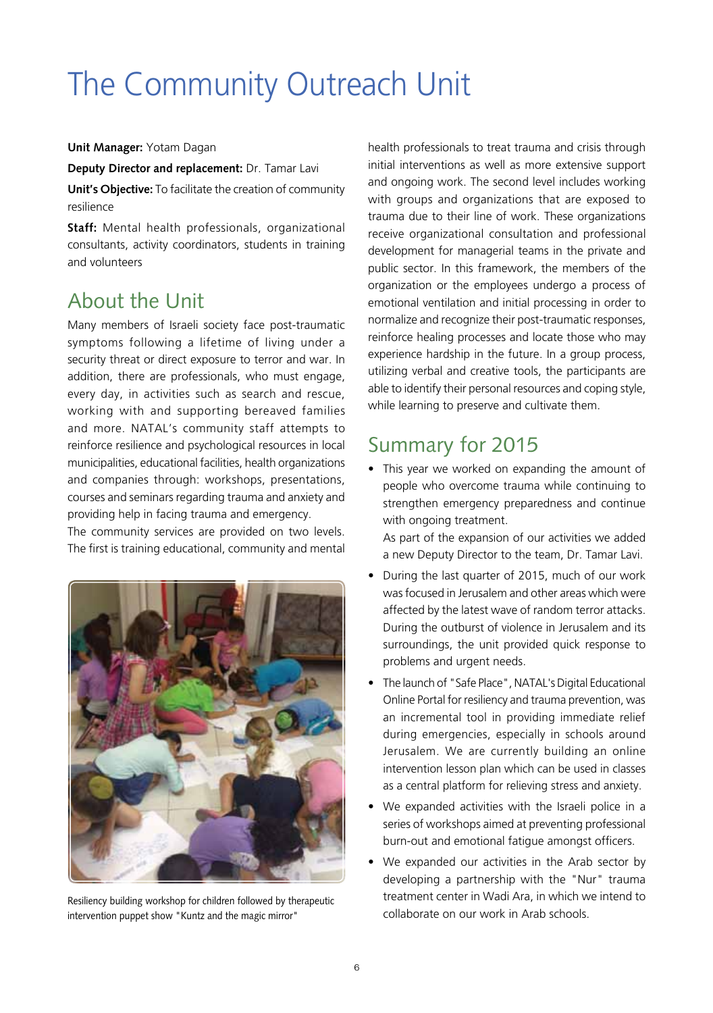# The Community Outreach Unit

#### **Unit Manager:** Yotam Dagan

**Deputy Director and replacement:** Dr. Tamar Lavi

**Unit's Objective:** To facilitate the creation of community resilience

**Staff:** Mental health professionals, organizational consultants, activity coordinators, students in training and volunteers

## About the Unit

Many members of Israeli society face post-traumatic symptoms following a lifetime of living under a security threat or direct exposure to terror and war. In addition, there are professionals, who must engage, every day, in activities such as search and rescue, working with and supporting bereaved families and more. NATAL's community staff attempts to reinforce resilience and psychological resources in local municipalities, educational facilities, health organizations and companies through: workshops, presentations, courses and seminars regarding trauma and anxiety and providing help in facing trauma and emergency.

The community services are provided on two levels. The first is training educational, community and mental



Resiliency building workshop for children followed by therapeutic intervention puppet show "Kuntz and the magic mirror"

health professionals to treat trauma and crisis through initial interventions as well as more extensive support and ongoing work. The second level includes working with groups and organizations that are exposed to trauma due to their line of work. These organizations receive organizational consultation and professional development for managerial teams in the private and public sector. In this framework, the members of the organization or the employees undergo a process of emotional ventilation and initial processing in order to normalize and recognize their post-traumatic responses, reinforce healing processes and locate those who may experience hardship in the future. In a group process, utilizing verbal and creative tools, the participants are able to identify their personal resources and coping style, while learning to preserve and cultivate them.

## Summary for 2015

• This year we worked on expanding the amount of people who overcome trauma while continuing to strengthen emergency preparedness and continue with ongoing treatment.

As part of the expansion of our activities we added a new Deputy Director to the team, Dr. Tamar Lavi.

- During the last quarter of 2015, much of our work was focused in Jerusalem and other areas which were affected by the latest wave of random terror attacks. During the outburst of violence in Jerusalem and its surroundings, the unit provided quick response to problems and urgent needs.
- The launch of "Safe Place", NATAL's Digital Educational Online Portal for resiliency and trauma prevention, was an incremental tool in providing immediate relief during emergencies, especially in schools around Jerusalem. We are currently building an online intervention lesson plan which can be used in classes as a central platform for relieving stress and anxiety.
- We expanded activities with the Israeli police in a series of workshops aimed at preventing professional burn-out and emotional fatigue amongst officers.
- We expanded our activities in the Arab sector by developing a partnership with the "Nur" trauma treatment center in Wadi Ara, in which we intend to collaborate on our work in Arab schools.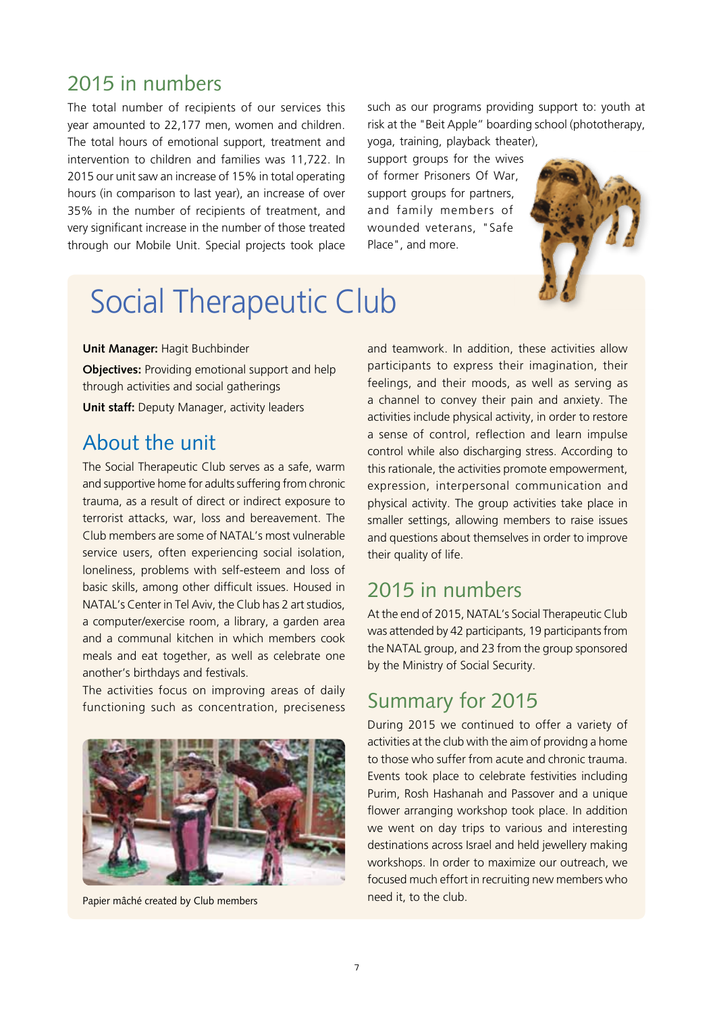### 2015 in numbers

The total number of recipients of our services this year amounted to 22,177 men, women and children. The total hours of emotional support, treatment and intervention to children and families was 11,722. In 2015 our unit saw an increase of 15% in total operating hours (in comparison to last year), an increase of over 35% in the number of recipients of treatment, and very significant increase in the number of those treated through our Mobile Unit. Special projects took place such as our programs providing support to: youth at risk at the "Beit Apple" boarding school (phototherapy,

yoga, training, playback theater), support groups for the wives of former Prisoners Of War, support groups for partners, and family members of wounded veterans, "Safe Place", and more.



## Social Therapeutic Club

#### **Unit Manager:** Hagit Buchbinder

**Objectives:** Providing emotional support and help through activities and social gatherings **Unit staff:** Deputy Manager, activity leaders

## About the unit

The Social Therapeutic Club serves as a safe, warm and supportive home for adults suffering from chronic trauma, as a result of direct or indirect exposure to terrorist attacks, war, loss and bereavement. The Club members are some of NATAL's most vulnerable service users, often experiencing social isolation, loneliness, problems with self-esteem and loss of basic skills, among other difficult issues. Housed in NATAL's Center in Tel Aviv, the Club has 2 art studios, a computer/exercise room, a library, a garden area and a communal kitchen in which members cook meals and eat together, as well as celebrate one another's birthdays and festivals.

The activities focus on improving areas of daily functioning such as concentration, preciseness



need it, to the club. Papier mâché created by Club members

and teamwork. In addition, these activities allow participants to express their imagination, their feelings, and their moods, as well as serving as a channel to convey their pain and anxiety. The activities include physical activity, in order to restore a sense of control, reflection and learn impulse control while also discharging stress. According to this rationale, the activities promote empowerment, expression, interpersonal communication and physical activity. The group activities take place in smaller settings, allowing members to raise issues and questions about themselves in order to improve their quality of life.

## 2015 in numbers

At the end of 2015, NATAL's Social Therapeutic Club was attended by 42 participants, 19 participants from the NATAL group, and 23 from the group sponsored by the Ministry of Social Security.

## Summary for 2015

During 2015 we continued to offer a variety of activities at the club with the aim of providng a home to those who suffer from acute and chronic trauma. Events took place to celebrate festivities including Purim, Rosh Hashanah and Passover and a unique flower arranging workshop took place. In addition we went on day trips to various and interesting destinations across Israel and held jewellery making workshops. In order to maximize our outreach, we focused much effort in recruiting new members who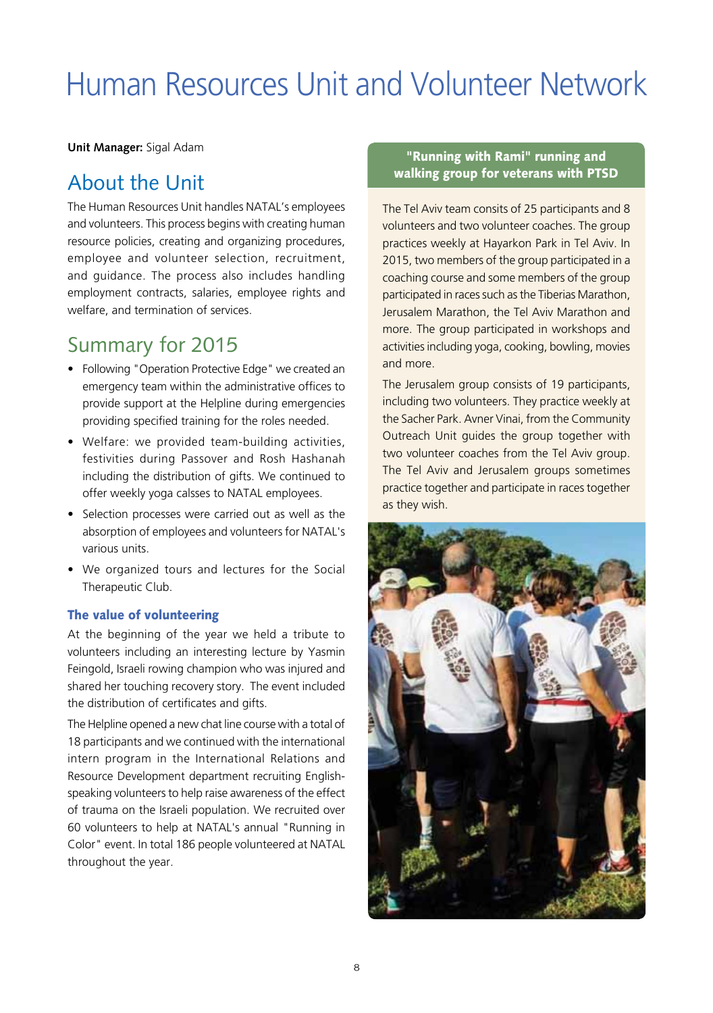## Human Resources Unit and Volunteer Network

**Unit Manager:** Sigal Adam

## About the Unit

The Human Resources Unit handles NATAL's employees and volunteers. This process begins with creating human resource policies, creating and organizing procedures, employee and volunteer selection, recruitment, and guidance. The process also includes handling employment contracts, salaries, employee rights and welfare, and termination of services.

## Summary for 2015

- Following "Operation Protective Edge" we created an emergency team within the administrative offices to provide support at the Helpline during emergencies providing specified training for the roles needed.
- Welfare: we provided team-building activities, festivities during Passover and Rosh Hashanah including the distribution of gifts. We continued to offer weekly yoga calsses to NATAL employees.
- Selection processes were carried out as well as the absorption of employees and volunteers for NATAL's various units.
- • We organized tours and lectures for the Social Therapeutic Club.

#### The value of volunteering

At the beginning of the year we held a tribute to volunteers including an interesting lecture by Yasmin Feingold, Israeli rowing champion who was injured and shared her touching recovery story. The event included the distribution of certificates and gifts.

The Helpline opened a new chat line course with a total of 18 participants and we continued with the international intern program in the International Relations and Resource Development department recruiting Englishspeaking volunteers to help raise awareness of the effect of trauma on the Israeli population. We recruited over 60 volunteers to help at NATAL's annual "Running in Color" event. In total 186 people volunteered at NATAL throughout the year.

#### "Running with Rami" running and walking group for veterans with PTSD

The Tel Aviv team consits of 25 participants and 8 volunteers and two volunteer coaches. The group practices weekly at Hayarkon Park in Tel Aviv. In 2015, two members of the group participated in a coaching course and some members of the group participated in races such as the Tiberias Marathon, Jerusalem Marathon, the Tel Aviv Marathon and more. The group participated in workshops and activities including yoga, cooking, bowling, movies and more.

The Jerusalem group consists of 19 participants, including two volunteers. They practice weekly at the Sacher Park. Avner Vinai, from the Community Outreach Unit guides the group together with two volunteer coaches from the Tel Aviv group. The Tel Aviv and Jerusalem groups sometimes practice together and participate in races together as they wish.

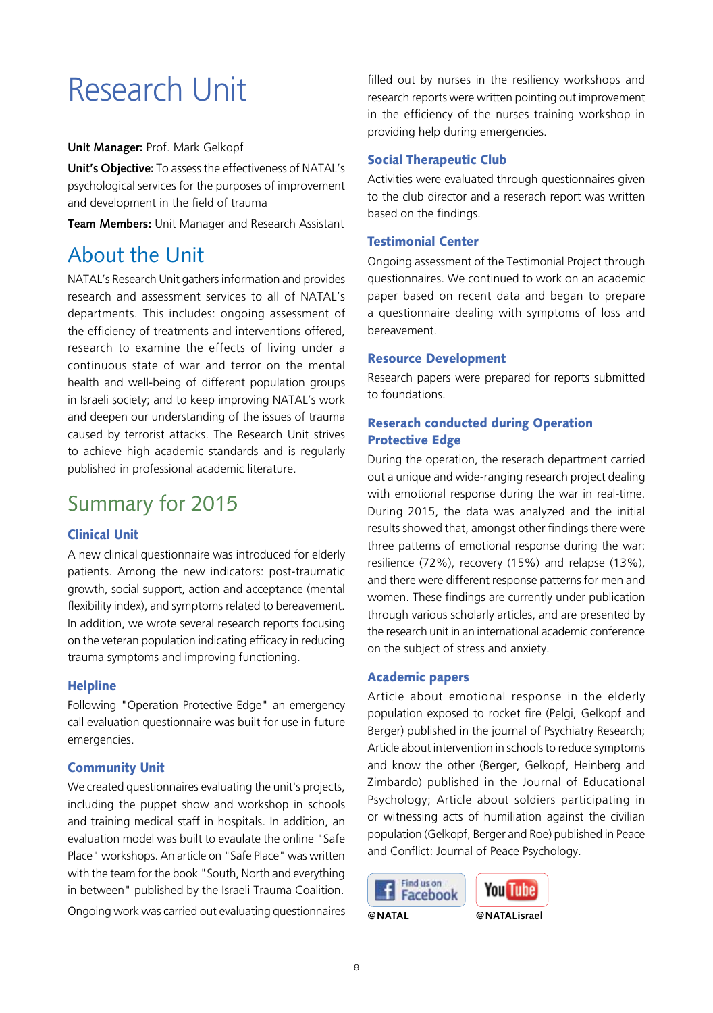## Research Unit

#### **Unit Manager:** Prof. Mark Gelkopf

**Unit's Objective:** To assess the effectiveness of NATAL's psychological services for the purposes of improvement and development in the field of trauma

**Team Members:** Unit Manager and Research Assistant

### About the Unit

NATAL's Research Unit gathers information and provides research and assessment services to all of NATAL's departments. This includes: ongoing assessment of the efficiency of treatments and interventions offered, research to examine the effects of living under a continuous state of war and terror on the mental health and well-being of different population groups in Israeli society; and to keep improving NATAL's work and deepen our understanding of the issues of trauma caused by terrorist attacks. The Research Unit strives to achieve high academic standards and is regularly published in professional academic literature.

## Summary for 2015

#### Clinical Unit

A new clinical questionnaire was introduced for elderly patients. Among the new indicators: post-traumatic growth, social support, action and acceptance (mental flexibility index), and symptoms related to bereavement. In addition, we wrote several research reports focusing on the veteran population indicating efficacy in reducing trauma symptoms and improving functioning.

#### **Helpline**

Following "Operation Protective Edge" an emergency call evaluation questionnaire was built for use in future emergencies.

#### Community Unit

We created questionnaires evaluating the unit's projects, including the puppet show and workshop in schools and training medical staff in hospitals. In addition, an evaluation model was built to evaulate the online "Safe Place" workshops. An article on "Safe Place" was written with the team for the book "South, North and everything in between" published by the Israeli Trauma Coalition. Ongoing work was carried out evaluating questionnaires

filled out by nurses in the resiliency workshops and research reports were written pointing out improvement in the efficiency of the nurses training workshop in providing help during emergencies.

#### Social Therapeutic Club

Activities were evaluated through questionnaires given to the club director and a reserach report was written based on the findings.

#### Testimonial Center

Ongoing assessment of the Testimonial Project through questionnaires. We continued to work on an academic paper based on recent data and began to prepare a questionnaire dealing with symptoms of loss and bereavement.

#### Resource Development

Research papers were prepared for reports submitted to foundations.

#### Reserach conducted during Operation Protective Edge

During the operation, the reserach department carried out a unique and wide-ranging research project dealing with emotional response during the war in real-time. During 2015, the data was analyzed and the initial results showed that, amongst other findings there were three patterns of emotional response during the war: resilience (72%), recovery (15%) and relapse (13%), and there were different response patterns for men and women. These findings are currently under publication through various scholarly articles, and are presented by the research unit in an international academic conference on the subject of stress and anxiety.

#### Academic papers

Article about emotional response in the elderly population exposed to rocket fire (Pelgi, Gelkopf and Berger) published in the journal of Psychiatry Research; Article about intervention in schools to reduce symptoms and know the other (Berger, Gelkopf, Heinberg and Zimbardo) published in the Journal of Educational Psychology; Article about soldiers participating in or witnessing acts of humiliation against the civilian population (Gelkopf, Berger and Roe) published in Peace and Conflict: Journal of Peace Psychology.



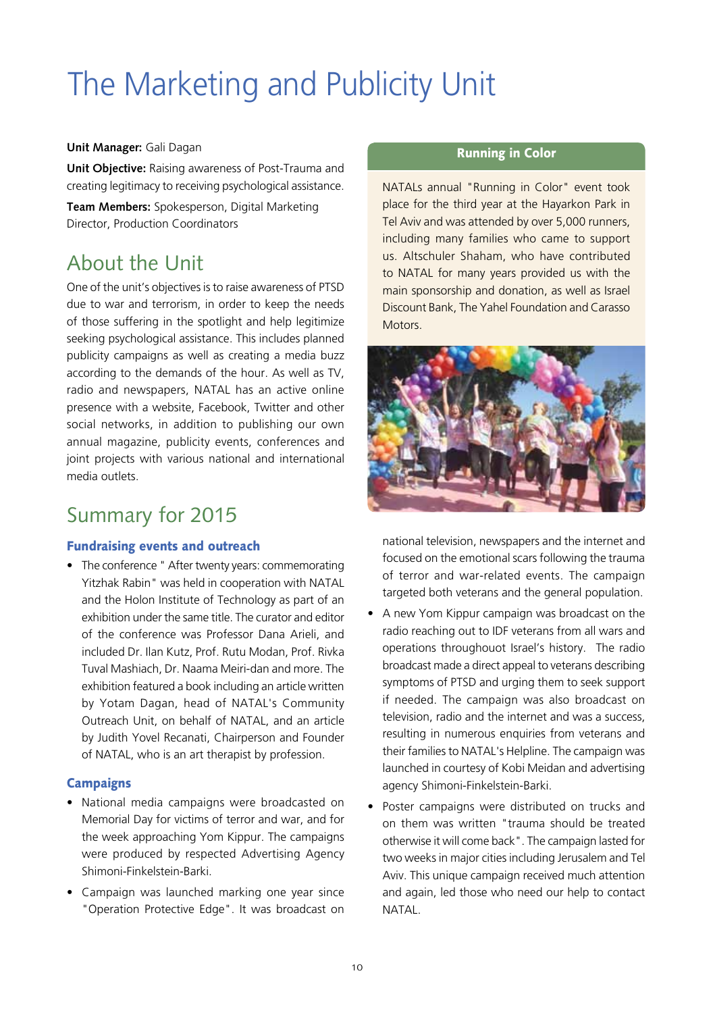# The Marketing and Publicity Unit

#### **Unit Manager:** Gali Dagan

**Unit Objective:** Raising awareness of Post-Trauma and creating legitimacy to receiving psychological assistance.

**Team Members:** Spokesperson, Digital Marketing Director, Production Coordinators

## About the Unit

One of the unit's objectives is to raise awareness of PTSD due to war and terrorism, in order to keep the needs of those suffering in the spotlight and help legitimize seeking psychological assistance. This includes planned publicity campaigns as well as creating a media buzz according to the demands of the hour. As well as TV, radio and newspapers, NATAL has an active online presence with a website, Facebook, Twitter and other social networks, in addition to publishing our own annual magazine, publicity events, conferences and joint projects with various national and international media outlets.

## Summary for 2015

#### Fundraising events and outreach

• The conference " After twenty years: commemorating Yitzhak Rabin" was held in cooperation with NATAL and the Holon Institute of Technology as part of an exhibition under the same title. The curator and editor of the conference was Professor Dana Arieli, and included Dr. Ilan Kutz, Prof. Rutu Modan, Prof. Rivka Tuval Mashiach, Dr. Naama Meiri-dan and more. The exhibition featured a book including an article written by Yotam Dagan, head of NATAL's Community Outreach Unit, on behalf of NATAL, and an article by Judith Yovel Recanati, Chairperson and Founder of NATAL, who is an art therapist by profession.

#### **Campaigns**

- National media campaigns were broadcasted on Memorial Day for victims of terror and war, and for the week approaching Yom Kippur. The campaigns were produced by respected Advertising Agency Shimoni-Finkelstein-Barki.
- • Campaign was launched marking one year since "Operation Protective Edge". It was broadcast on

#### Running in Color

NATALs annual "Running in Color" event took place for the third year at the Hayarkon Park in Tel Aviv and was attended by over 5,000 runners, including many families who came to support us. Altschuler Shaham, who have contributed to NATAL for many years provided us with the main sponsorship and donation, as well as Israel Discount Bank, The Yahel Foundation and Carasso **Motors** 



national television, newspapers and the internet and focused on the emotional scars following the trauma of terror and war-related events. The campaign targeted both veterans and the general population.

- A new Yom Kippur campaign was broadcast on the radio reaching out to IDF veterans from all wars and operations throughouot Israel's history. The radio broadcast made a direct appeal to veterans describing symptoms of PTSD and urging them to seek support if needed. The campaign was also broadcast on television, radio and the internet and was a success, resulting in numerous enquiries from veterans and their families to NATAL's Helpline. The campaign was launched in courtesy of Kobi Meidan and advertising agency Shimoni-Finkelstein-Barki.
- Poster campaigns were distributed on trucks and on them was written "trauma should be treated otherwise it will come back". The campaign lasted for two weeks in major cities including Jerusalem and Tel Aviv. This unique campaign received much attention and again, led those who need our help to contact NATAL.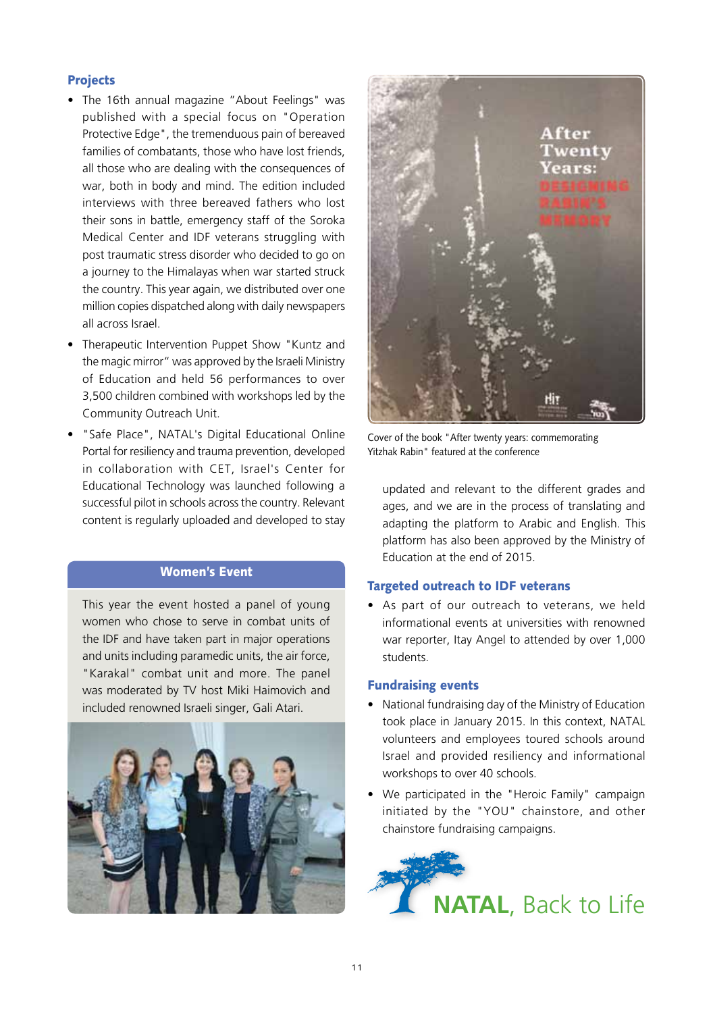#### Projects

- The 16th annual magazine "About Feelings" was published with a special focus on "Operation Protective Edge", the tremenduous pain of bereaved families of combatants, those who have lost friends, all those who are dealing with the consequences of war, both in body and mind. The edition included interviews with three bereaved fathers who lost their sons in battle, emergency staff of the Soroka Medical Center and IDF veterans struggling with post traumatic stress disorder who decided to go on a journey to the Himalayas when war started struck the country. This year again, we distributed over one million copies dispatched along with daily newspapers all across Israel.
- Therapeutic Intervention Puppet Show "Kuntz and the magic mirror" was approved by the Israeli Ministry of Education and held 56 performances to over 3,500 children combined with workshops led by the Community Outreach Unit.
- "Safe Place", NATAL's Digital Educational Online Portal for resiliency and trauma prevention, developed in collaboration with CET, Israel's Center for Educational Technology was launched following a successful pilot in schools across the country. Relevant content is regularly uploaded and developed to stay

#### Women's Event

This year the event hosted a panel of young women who chose to serve in combat units of the IDF and have taken part in major operations and units including paramedic units, the air force, "Karakal" combat unit and more. The panel was moderated by TV host Miki Haimovich and included renowned Israeli singer, Gali Atari.





Cover of the book "After twenty years: commemorating Yitzhak Rabin" featured at the conference

updated and relevant to the different grades and ages, and we are in the process of translating and adapting the platform to Arabic and English. This platform has also been approved by the Ministry of Education at the end of 2015.

#### Targeted outreach to IDF veterans

• As part of our outreach to veterans, we held informational events at universities with renowned war reporter, Itay Angel to attended by over 1,000 students.

#### Fundraising events

- National fundraising day of the Ministry of Education took place in January 2015. In this context, NATAL volunteers and employees toured schools around Israel and provided resiliency and informational workshops to over 40 schools.
- We participated in the "Heroic Family" campaign initiated by the "YOU" chainstore, and other chainstore fundraising campaigns.

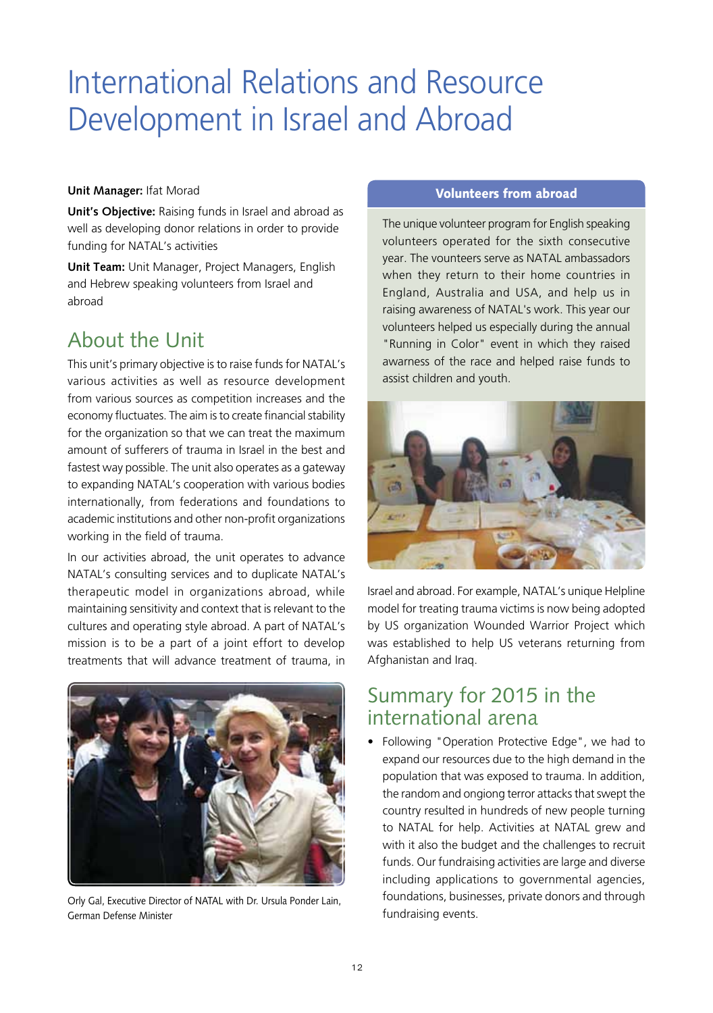## International Relations and Resource Development in Israel and Abroad

#### **Unit Manager:** Ifat Morad

**Unit's Objective:** Raising funds in Israel and abroad as well as developing donor relations in order to provide funding for NATAL's activities

**Unit Team:** Unit Manager, Project Managers, English and Hebrew speaking volunteers from Israel and abroad

### About the Unit

This unit's primary objective is to raise funds for NATAL's various activities as well as resource development from various sources as competition increases and the economy fluctuates. The aim is to create financial stability for the organization so that we can treat the maximum amount of sufferers of trauma in Israel in the best and fastest way possible. The unit also operates as a gateway to expanding NATAL's cooperation with various bodies internationally, from federations and foundations to academic institutions and other non-profit organizations working in the field of trauma.

In our activities abroad, the unit operates to advance NATAL's consulting services and to duplicate NATAL's therapeutic model in organizations abroad, while maintaining sensitivity and context that is relevant to the cultures and operating style abroad. A part of NATAL's mission is to be a part of a joint effort to develop treatments that will advance treatment of trauma, in



Orly Gal, Executive Director of NATAL with Dr. Ursula Ponder Lain, German Defense Minister

#### Volunteers from abroad

The unique volunteer program for English speaking volunteers operated for the sixth consecutive year. The vounteers serve as NATAL ambassadors when they return to their home countries in England, Australia and USA, and help us in raising awareness of NATAL's work. This year our volunteers helped us especially during the annual "Running in Color" event in which they raised awarness of the race and helped raise funds to assist children and youth.



Israel and abroad. For example, NATAL's unique Helpline model for treating trauma victims is now being adopted by US organization Wounded Warrior Project which was established to help US veterans returning from Afghanistan and Iraq.

### Summary for 2015 in the international arena

• Following "Operation Protective Edge", we had to expand our resources due to the high demand in the population that was exposed to trauma. In addition, the random and ongiong terror attacks that swept the country resulted in hundreds of new people turning to NATAL for help. Activities at NATAL grew and with it also the budget and the challenges to recruit funds. Our fundraising activities are large and diverse including applications to governmental agencies, foundations, businesses, private donors and through fundraising events.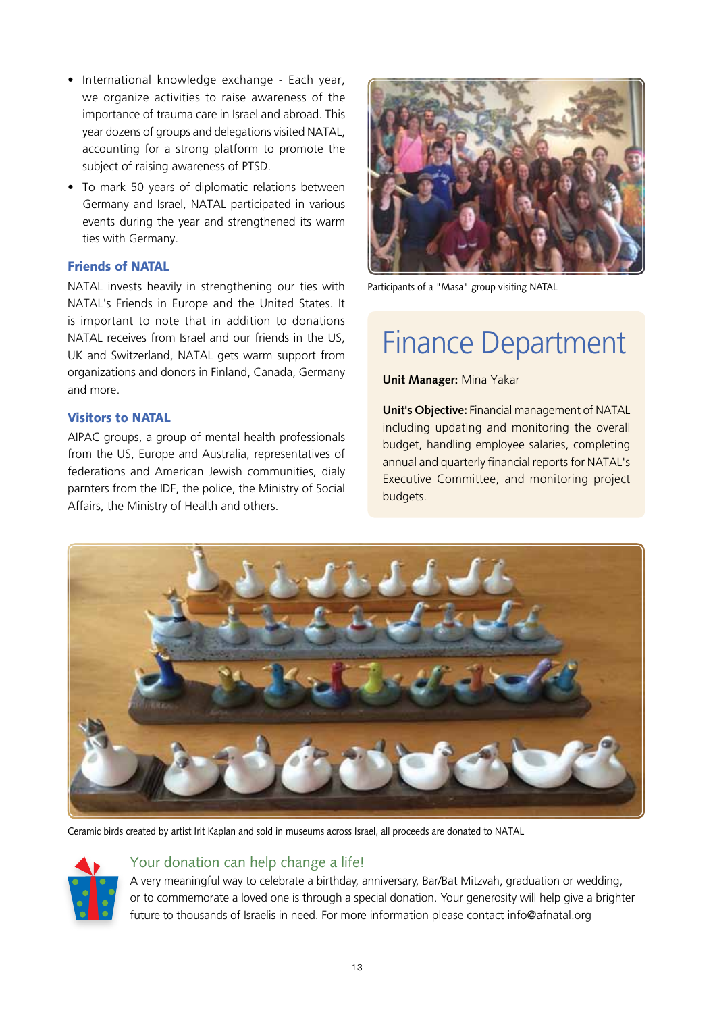- International knowledge exchange Each year, we organize activities to raise awareness of the importance of trauma care in Israel and abroad. This year dozens of groups and delegations visited NATAL, accounting for a strong platform to promote the subject of raising awareness of PTSD.
- To mark 50 years of diplomatic relations between Germany and Israel, NATAL participated in various events during the year and strengthened its warm ties with Germany.

#### Friends of NATAL

NATAL invests heavily in strengthening our ties with NATAL's Friends in Europe and the United States. It is important to note that in addition to donations NATAL receives from Israel and our friends in the US, UK and Switzerland, NATAL gets warm support from organizations and donors in Finland, Canada, Germany and more.

#### Visitors to NATAL

AIPAC groups, a group of mental health professionals from the US, Europe and Australia, representatives of federations and American Jewish communities, dialy parnters from the IDF, the police, the Ministry of Social Affairs, the Ministry of Health and others.



Participants of a "Masa" group visiting NATAL

## Finance Department

**Unit Manager:** Mina Yakar

**Unit's Objective:** Financial management of NATAL including updating and monitoring the overall budget, handling employee salaries, completing annual and quarterly financial reports for NATAL's Executive Committee, and monitoring project budgets.



Ceramic birds created by artist Irit Kaplan and sold in museums across Israel, all proceeds are donated to NATAL



#### Your donation can help change a life!

A very meaningful way to celebrate a birthday, anniversary, Bar/Bat Mitzvah, graduation or wedding, or to commemorate a loved one is through a special donation. Your generosity will help give a brighter future to thousands of Israelis in need. For more information please contact info@afnatal.org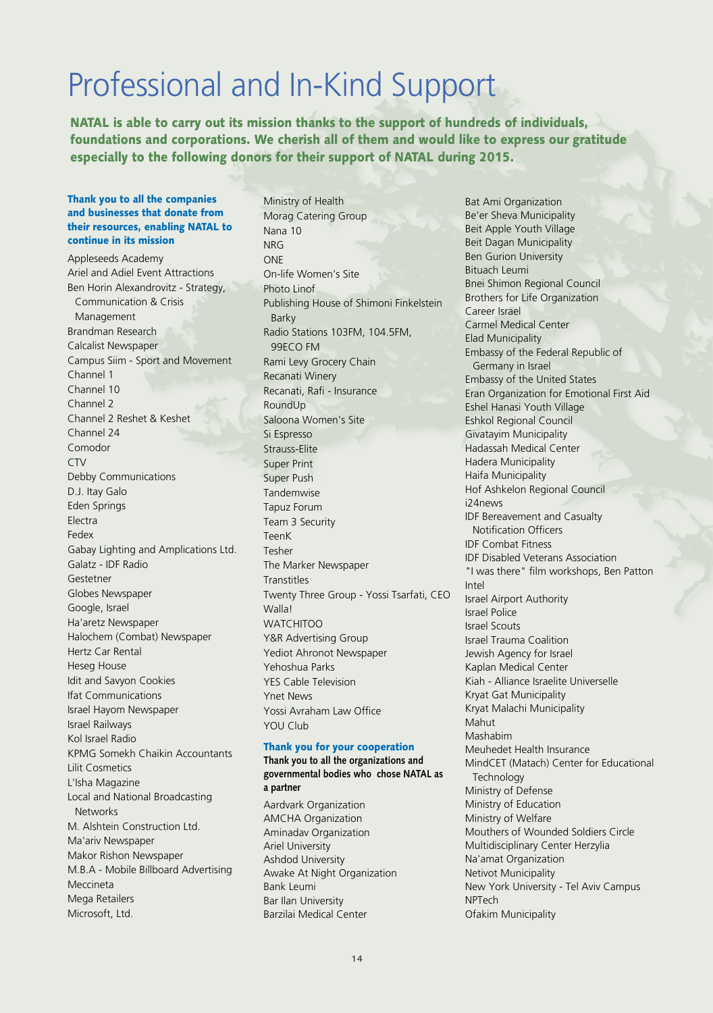## Professional and In-Kind Support

NATAL is able to carry out its mission thanks to the support of hundreds of individuals, foundations and corporations. We cherish all of them and would like to express our gratitude especially to the following donors for their support of NATAL during 2015.

#### Thank you to all the companies and businesses that donate from their resources, enabling NATAL to continue in its mission

Appleseeds Academy Ariel and Adiel Event Attractions Ben Horin Alexandrovitz - Strategy, Communication & Crisis Management Brandman Research Calcalist Newspaper Campus Siim - Sport and Movement Channel 1 Channel 10 Channel 2 Channel 2 Reshet & Keshet Channel 24 Comodor CTV Debby Communications D.J. Itay Galo Eden Springs Electra Fedex Gabay Lighting and Amplications Ltd. Galatz - IDF Radio Gestetner Globes Newspaper Google, Israel Ha'aretz Newspaper Halochem (Combat) Newspaper Hertz Car Rental Heseg House Idit and Savyon Cookies Ifat Communications Israel Hayom Newspaper Israel Railways Kol Israel Radio KPMG Somekh Chaikin Accountants Lilit Cosmetics L'Isha Magazine Local and National Broadcasting **Networks** M. Alshtein Construction Ltd. Ma'ariv Newspaper Makor Rishon Newspaper M.B.A - Mobile Billboard Advertising Meccineta Mega Retailers Microsoft, Ltd.

Ministry of Health Morag Catering Group Nana 10 NRG ONE On-life Women's Site Photo Linof Publishing House of Shimoni Finkelstein Barky Radio Stations 103FM, 104.5FM, 99ECO FM Rami Levy Grocery Chain Recanati Winery Recanati, Rafi - Insurance RoundUp Saloona Women's Site Si Espresso Strauss-Elite Super Print Super Push Tandemwise Tapuz Forum Team 3 Security TeenK Tesher The Marker Newspaper **Transtitles** Twenty Three Group - Yossi Tsarfati, CEO Walla! **WATCHITOO** Y&R Advertising Group Yediot Ahronot Newspaper Yehoshua Parks YES Cable Television Ynet News Yossi Avraham Law Office YOU Club

#### Thank you for your cooperation

Bank Leumi Bar Ilan University Barzilai Medical Center

**Thank you to all the organizations and governmental bodies who chose NATAL as a partner** Aardvark Organization AMCHA Organization Aminadav Organization Ariel University Ashdod University Awake At Night Organization

Bat Ami Organization Be'er Sheva Municipality Beit Apple Youth Village Beit Dagan Municipality Ben Gurion University Bituach Leumi Bnei Shimon Regional Council Brothers for Life Organization Career Israel Carmel Medical Center Elad Municipality Embassy of the Federal Republic of Germany in Israel Embassy of the United States Eran Organization for Emotional First Aid Eshel Hanasi Youth Village Eshkol Regional Council Givatayim Municipality Hadassah Medical Center Hadera Municipality Haifa Municipality Hof Ashkelon Regional Council i24news IDF Bereavement and Casualty Notification Officers IDF Combat Fitness IDF Disabled Veterans Association "I was there" film workshops, Ben Patton Intel Israel Airport Authority Israel Police Israel Scouts Israel Trauma Coalition Jewish Agency for Israel Kaplan Medical Center Kiah - Alliance Israelite Universelle Kryat Gat Municipality Kryat Malachi Municipality Mahut Mashabim Meuhedet Health Insurance MindCET (Matach) Center for Educational **Technology** Ministry of Defense Ministry of Education Ministry of Welfare Mouthers of Wounded Soldiers Circle Multidisciplinary Center Herzylia Na'amat Organization Netivot Municipality New York University - Tel Aviv Campus NPTech

Ofakim Municipality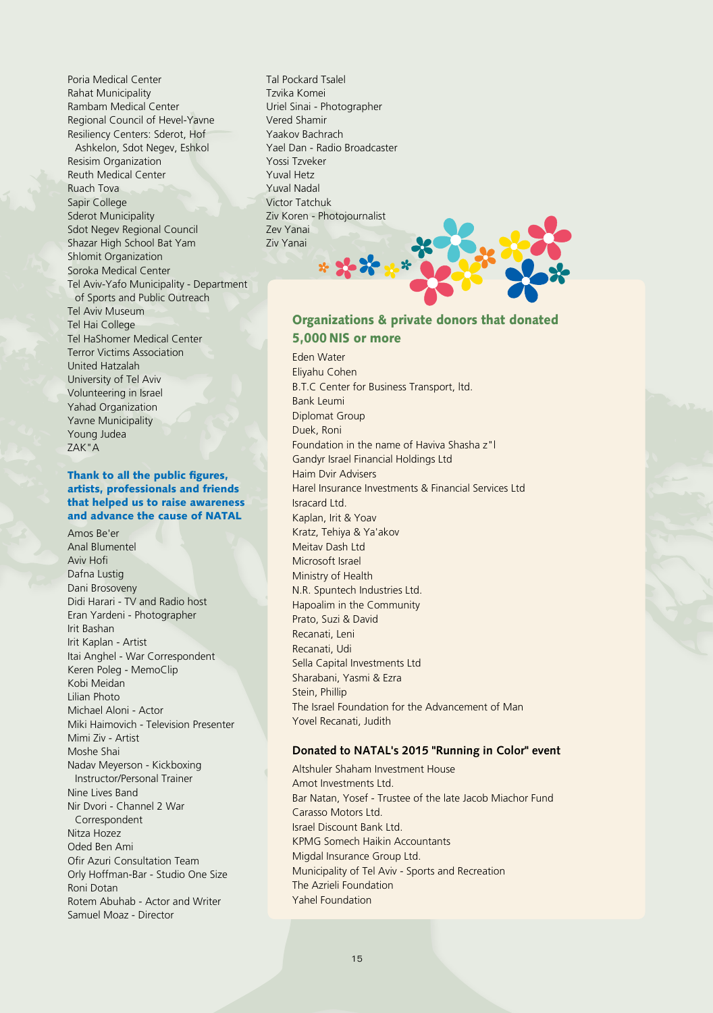Poria Medical Center Rahat Municipality Rambam Medical Center Regional Council of Hevel-Yavne Resiliency Centers: Sderot, Hof Ashkelon, Sdot Negev, Eshkol Resisim Organization Reuth Medical Center Ruach Tova Sapir College Sderot Municipality Sdot Negev Regional Council Shazar High School Bat Yam Shlomit Organization Soroka Medical Center Tel Aviv-Yafo Municipality - Department of Sports and Public Outreach Tel Aviv Museum Tel Hai College Tel HaShomer Medical Center Terror Victims Association United Hatzalah University of Tel Aviv Volunteering in Israel Yahad Organization Yavne Municipality Young Judea ZAK"A

#### Thank to all the public figures, artists, professionals and friends that helped us to raise awareness and advance the cause of NATAL

Amos Be'er Anal Blumentel Aviv Hofi Dafna Lustig Dani Brosoveny Didi Harari - TV and Radio host Eran Yardeni - Photographer Irit Bashan Irit Kaplan - Artist Itai Anghel - War Correspondent Keren Poleg - MemoClip Kobi Meidan Lilian Photo Michael Aloni - Actor Miki Haimovich - Television Presenter Mimi Ziv - Artist Moshe Shai Nadav Meyerson - Kickboxing Instructor/Personal Trainer Nine Lives Band Nir Dvori - Channel 2 War Correspondent Nitza Hozez Oded Ben Ami Ofir Azuri Consultation Team Orly Hoffman-Bar - Studio One Size Roni Dotan Rotem Abuhab - Actor and Writer Samuel Moaz - Director

Tal Pockard Tsalel Tzvika Komei Uriel Sinai - Photographer Vered Shamir Yaakov Bachrach Yael Dan - Radio Broadcaster Yossi Tzveker Yuval Hetz Yuval Nadal Victor Tatchuk Ziv Koren - Photojournalist Zev Yanai Ziv Yanai

#### Organizations & private donors that donated 5,000 nis or more

Eden Water Eliyahu Cohen B.T.C Center for Business Transport, ltd. Bank Leumi Diplomat Group Duek, Roni Foundation in the name of Haviva Shasha z"l Gandyr Israel Financial Holdings Ltd Haim Dvir Advisers Harel Insurance Investments & Financial Services Ltd Isracard Ltd. Kaplan, Irit & Yoav Kratz, Tehiya & Ya'akov Meitav Dash Ltd Microsoft Israel Ministry of Health N.R. Spuntech Industries Ltd. Hapoalim in the Community Prato, Suzi & David Recanati, Leni Recanati, Udi Sella Capital Investments Ltd Sharabani, Yasmi & Ezra Stein, Phillip The Israel Foundation for the Advancement of Man Yovel Recanati, Judith

#### **Donated to NATAL's 2015 "Running in Color" event**

Altshuler Shaham Investment House Amot Investments Ltd. Bar Natan, Yosef - Trustee of the late Jacob Miachor Fund Carasso Motors Ltd. Israel Discount Bank Ltd. KPMG Somech Haikin Accountants Migdal Insurance Group Ltd. Municipality of Tel Aviv - Sports and Recreation The Azrieli Foundation Yahel Foundation